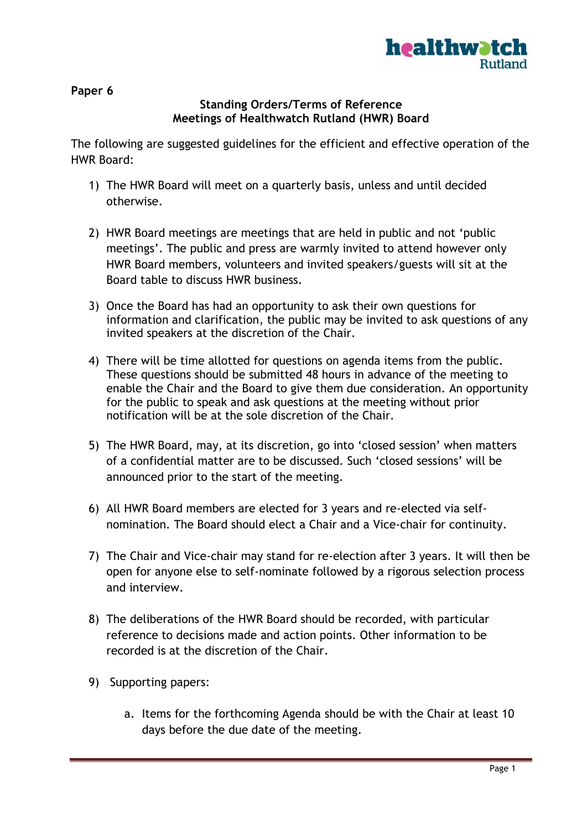

**Paper 6**

## **Standing Orders/Terms of Reference Meetings of Healthwatch Rutland (HWR) Board**

The following are suggested guidelines for the efficient and effective operation of the HWR Board:

- 1) The HWR Board will meet on a quarterly basis, unless and until decided otherwise.
- 2) HWR Board meetings are meetings that are held in public and not 'public meetings'. The public and press are warmly invited to attend however only HWR Board members, volunteers and invited speakers/guests will sit at the Board table to discuss HWR business.
- 3) Once the Board has had an opportunity to ask their own questions for information and clarification, the public may be invited to ask questions of any invited speakers at the discretion of the Chair.
- 4) There will be time allotted for questions on agenda items from the public. These questions should be submitted 48 hours in advance of the meeting to enable the Chair and the Board to give them due consideration. An opportunity for the public to speak and ask questions at the meeting without prior notification will be at the sole discretion of the Chair.
- 5) The HWR Board, may, at its discretion, go into 'closed session' when matters of a confidential matter are to be discussed. Such 'closed sessions' will be announced prior to the start of the meeting.
- 6) All HWR Board members are elected for 3 years and re-elected via selfnomination. The Board should elect a Chair and a Vice-chair for continuity.
- 7) The Chair and Vice-chair may stand for re-election after 3 years. It will then be open for anyone else to self-nominate followed by a rigorous selection process and interview.
- 8) The deliberations of the HWR Board should be recorded, with particular reference to decisions made and action points. Other information to be recorded is at the discretion of the Chair.
- 9) Supporting papers:
	- a. Items for the forthcoming Agenda should be with the Chair at least 10 days before the due date of the meeting.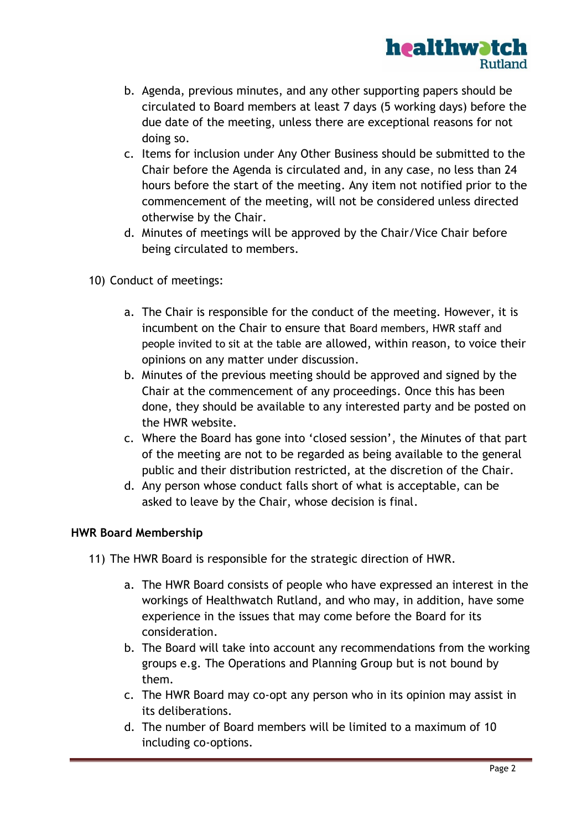

- b. Agenda, previous minutes, and any other supporting papers should be circulated to Board members at least 7 days (5 working days) before the due date of the meeting, unless there are exceptional reasons for not doing so.
- c. Items for inclusion under Any Other Business should be submitted to the Chair before the Agenda is circulated and, in any case, no less than 24 hours before the start of the meeting. Any item not notified prior to the commencement of the meeting, will not be considered unless directed otherwise by the Chair.
- d. Minutes of meetings will be approved by the Chair/Vice Chair before being circulated to members.
- 10) Conduct of meetings:
	- a. The Chair is responsible for the conduct of the meeting. However, it is incumbent on the Chair to ensure that Board members, HWR staff and people invited to sit at the table are allowed, within reason, to voice their opinions on any matter under discussion.
	- b. Minutes of the previous meeting should be approved and signed by the Chair at the commencement of any proceedings. Once this has been done, they should be available to any interested party and be posted on the HWR website.
	- c. Where the Board has gone into 'closed session', the Minutes of that part of the meeting are not to be regarded as being available to the general public and their distribution restricted, at the discretion of the Chair.
	- d. Any person whose conduct falls short of what is acceptable, can be asked to leave by the Chair, whose decision is final.

## **HWR Board Membership**

- 11) The HWR Board is responsible for the strategic direction of HWR.
	- a. The HWR Board consists of people who have expressed an interest in the workings of Healthwatch Rutland, and who may, in addition, have some experience in the issues that may come before the Board for its consideration.
	- b. The Board will take into account any recommendations from the working groups e.g. The Operations and Planning Group but is not bound by them.
	- c. The HWR Board may co-opt any person who in its opinion may assist in its deliberations.
	- d. The number of Board members will be limited to a maximum of 10 including co-options.